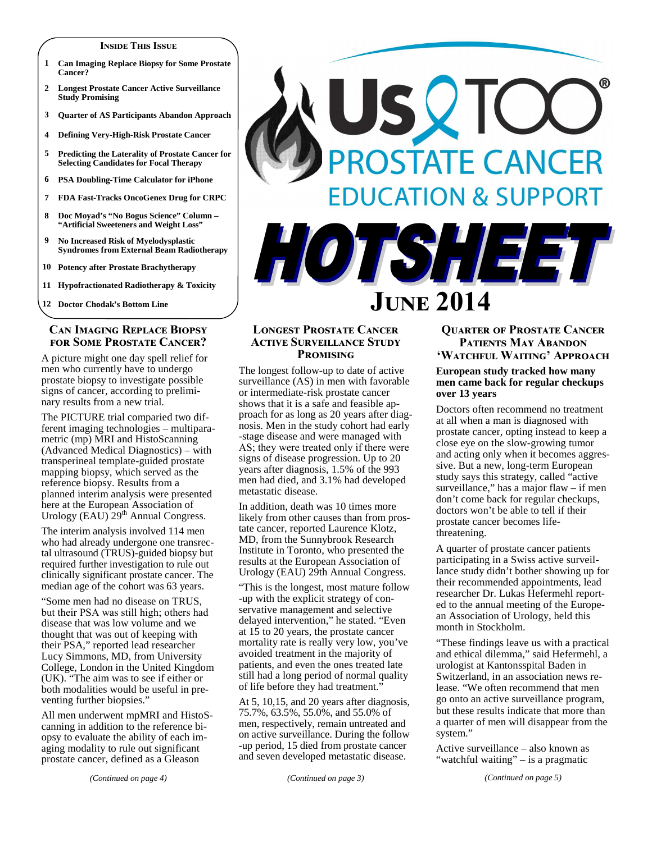#### **INSIDE THIS ISSUE**

- **1 Can Imaging Replace Biopsy for Some Prostate Cancer?**
- **2 Longest Prostate Cancer Active Surveillance Study Promising**
- **3 Quarter of AS Participants Abandon Approach**
- **4 Defining Very-High-Risk Prostate Cancer**
- **5 Predicting the Laterality of Prostate Cancer for Selecting Candidates for Focal Therapy**
- **6 PSA Doubling-Time Calculator for iPhone**
- **7 FDA Fast-Tracks OncoGenex Drug for CRPC**
- **8 Doc Moyad's "No Bogus Science" Column "Artificial Sweeteners and Weight Loss"**
- **9 No Increased Risk of Myelodysplastic Syndromes from External Beam Radiotherapy**
- **10 Potency after Prostate Brachytherapy**
- **11 Hypofractionated Radiotherapy & Toxicity**

**12 Doctor Chodak's Bottom Line** 

# **CAN IMAGING REPLACE BIOPSY FOR SOME PROSTATE CANCER?**

A picture might one day spell relief for men who currently have to undergo prostate biopsy to investigate possible signs of cancer, according to preliminary results from a new trial.

The PICTURE trial comparied two different imaging technologies – multiparametric (mp) MRI and HistoScanning (Advanced Medical Diagnostics) – with transperineal template-guided prostate mapping biopsy, which served as the reference biopsy. Results from a planned interim analysis were presented here at the European Association of Urology  $(EAU)$   $29<sup>th</sup>$  Annual Congress.

The interim analysis involved 114 men who had already undergone one transrectal ultrasound (TRUS)-guided biopsy but required further investigation to rule out clinically significant prostate cancer. The median age of the cohort was 63 years.

"Some men had no disease on TRUS, but their PSA was still high; others had disease that was low volume and we thought that was out of keeping with their PSA," reported lead researcher Lucy Simmons, MD, from University College, London in the United Kingdom (UK). "The aim was to see if either or both modalities would be useful in preventing further biopsies."

All men underwent mpMRI and HistoScanning in addition to the reference biopsy to evaluate the ability of each imaging modality to rule out significant prostate cancer, defined as a Gleason

USQT PROSTATE CANCER **EDUCATION & SUPPORT** 



# **LONGEST PROSTATE CANCER ACTIVE SURVEILLANCE STUDY PROMISING**

The longest follow-up to date of active surveillance (AS) in men with favorable or intermediate-risk prostate cancer shows that it is a safe and feasible approach for as long as 20 years after diagnosis. Men in the study cohort had early -stage disease and were managed with AS; they were treated only if there were signs of disease progression. Up to 20 years after diagnosis, 1.5% of the 993 men had died, and 3.1% had developed metastatic disease.

In addition, death was 10 times more likely from other causes than from prostate cancer, reported Laurence Klotz, MD, from the Sunnybrook Research Institute in Toronto, who presented the results at the European Association of Urology (EAU) 29th Annual Congress.

"This is the longest, most mature follow -up with the explicit strategy of conservative management and selective delayed intervention," he stated. "Even at 15 to 20 years, the prostate cancer mortality rate is really very low, you've avoided treatment in the majority of patients, and even the ones treated late still had a long period of normal quality of life before they had treatment."

At 5, 10,15, and 20 years after diagnosis, 75.7%, 63.5%, 55.0%, and 55.0% of men, respectively, remain untreated and on active surveillance. During the follow -up period, 15 died from prostate cancer and seven developed metastatic disease.

## *(Continued on page 3)*

# **QUARTER OF PROSTATE CANCER PATIENTS MAY ABANDON** 'Watchful Waiting' Approach

#### **European study tracked how many men came back for regular checkups over 13 years**

Doctors often recommend no treatment at all when a man is diagnosed with prostate cancer, opting instead to keep a close eye on the slow-growing tumor and acting only when it becomes aggressive. But a new, long-term European study says this strategy, called "active surveillance," has a major flaw – if men don't come back for regular checkups, doctors won't be able to tell if their prostate cancer becomes lifethreatening.

A quarter of prostate cancer patients participating in a Swiss active surveillance study didn't bother showing up for their recommended appointments, lead researcher Dr. Lukas Hefermehl reported to the annual meeting of the European Association of Urology, held this month in Stockholm.

"These findings leave us with a practical and ethical dilemma," said Hefermehl, a urologist at Kantonsspital Baden in Switzerland, in an association news release. "We often recommend that men go onto an active surveillance program, but these results indicate that more than a quarter of men will disappear from the system."

Active surveillance – also known as "watchful waiting" – is a pragmatic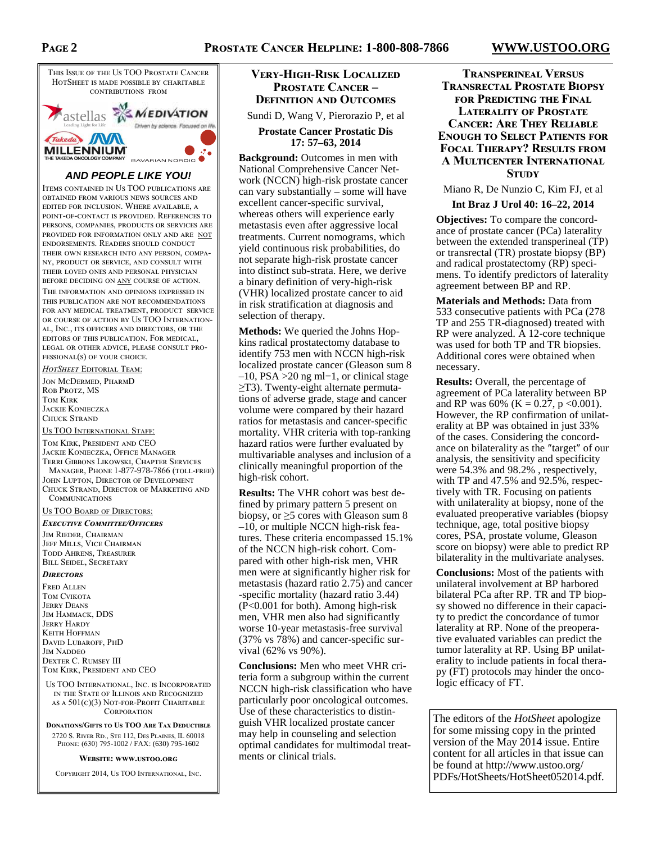

# **AND PEOPLE LIKE YOU!**

ITEMS CONTAINED IN US TOO PUBLICATIONS ARE OBTAINED FROM VARIOUS NEWS SOURCES AND EDITED FOR INCLUSION. WHERE AVAILABLE, A POINT-OF-CONTACT IS PROVIDED. REFERENCES TO PERSONS, COMPANIES, PRODUCTS OR SERVICES ARE PROVIDED FOR INFORMATION ONLY AND ARE NOT ENDORSEMENTS. READERS SHOULD CONDUCT THEIR OWN RESEARCH INTO ANY PERSON, COMPA-NY. PRODUCT OR SERVICE, AND CONSULT WITH THEIR LOVED ONES AND PERSONAL PHYSICIAN BEFORE DECIDING ON ANY COURSE OF ACTION.

THE INFORMATION AND OPINIONS EXPRESSED IN THIS PUBLICATION ARE NOT RECOMMENDATIONS FOR ANY MEDICAL TREATMENT, PRODUCT SERVICE OR COURSE OF ACTION BY US TOO INTERNATION-AL, INC., ITS OFFICERS AND DIRECTORS, OR THE EDITORS OF THIS PURLICATION FOR MEDICAL LEGAL OR OTHER ADVICE, PLEASE CONSULT PRO- $FESSIONAL(S)$  OF YOUR CHOICE.

*HotSheet Editorial Team:* 

JON MCDERMED, PHARMD ROB PROTZ, MS TOM KIRK JACKIE KONIECZKA **CHUCK STRAND** 

#### US TOO INTERNATIONAL STAFF:

TOM KIRK, PRESIDENT AND CEO JACKIE KONIECZKA, OFFICE MANAGER TERRI GIBBONS LIKOWSKI, CHAPTER SERVICES MANAGER, PHONE 1-877-978-7866 (TOLL-FREE) JOHN LUPTON, DIRECTOR OF DEVELOPMENT CHUCK STRAND, DIRECTOR OF MARKETING AND

COMMUNICATIONS

# US TOO BOARD OF DIRECTORS:

EXECUTIVE COMMITTEE/OFFICERS

JIM RIEDER, CHAIRMAN JEFF MILLS, VICE CHAIRMAN TODD AHRENS, TREASURER BILL SEIDEL, SECRETARY

#### **DIRECTORS**

FRED ALLEN TOM CVIKOTA **JERRY DEANS** JIM HAMMACK, DDS **JERRY HARDY KEITH HOEFMAN** DAVID LUBAROFF, PHD **JIM NADDEO** DEXTER C. RUMSEY III TOM KIRK, PRESIDENT AND CEO

US TOO INTERNATIONAL, INC. IS INCORPORATED IN THE STATE OF ILLINOIS AND RECOGNIZED  $As A 501(c)(3) NOT-FOR-PROFIT CHARITABLE$ CORPORATION

**DONATIONS/GIFTS TO US TOO ARE TAX DEDUCTIBLE** 

2720 S. RIVER RD., STE 112, DES PLAINES, IL 60018 PHONE: (630) 795-1002 / FAX: (630) 795-1602

#### **WEBSITE: WWW.USTOO.ORG**

COPYRIGHT 2014, US TOO INTERNATIONAL. INC.

# VERY-HIGH-RISK LOCALIZED **PROSTATE CANCER – DEFINITION AND OUTCOMES**

Sundi D, Wang V, Pierorazio P, et al

**Prostate Cancer Prostatic Dis 17: 57–63, 2014** 

**Background:** Outcomes in men with National Comprehensive Cancer Network (NCCN) high-risk prostate cancer can vary substantially – some will have excellent cancer-specific survival, whereas others will experience early metastasis even after aggressive local treatments. Current nomograms, which yield continuous risk probabilities, do not separate high-risk prostate cancer into distinct sub-strata. Here, we derive a binary definition of very-high-risk (VHR) localized prostate cancer to aid in risk stratification at diagnosis and selection of therapy.

**Methods:** We queried the Johns Hopkins radical prostatectomy database to identify 753 men with NCCN high-risk localized prostate cancer (Gleason sum 8 –10, PSA >20 ng ml−1, or clinical stage ≥T3). Twenty-eight alternate permutations of adverse grade, stage and cancer volume were compared by their hazard ratios for metastasis and cancer-specific mortality. VHR criteria with top-ranking hazard ratios were further evaluated by multivariable analyses and inclusion of a clinically meaningful proportion of the high-risk cohort.

**Results:** The VHR cohort was best defined by primary pattern 5 present on biopsy, or  $\geq$ 5 cores with Gleason sum 8 –10, or multiple NCCN high-risk features. These criteria encompassed 15.1% of the NCCN high-risk cohort. Compared with other high-risk men, VHR men were at significantly higher risk for metastasis (hazard ratio 2.75) and cancer -specific mortality (hazard ratio 3.44) (P<0.001 for both). Among high-risk men, VHR men also had significantly worse 10-year metastasis-free survival (37% vs 78%) and cancer-specific survival (62% vs 90%).

**Conclusions:** Men who meet VHR criteria form a subgroup within the current NCCN high-risk classification who have particularly poor oncological outcomes. Use of these characteristics to distinguish VHR localized prostate cancer may help in counseling and selection optimal candidates for multimodal treatments or clinical trials.

# **TRANSPERINEAL VERSUS TRANSRECTAL PROSTATE BIOPSY FOR PREDICTING THE FINAL LATERALITY OF PROSTATE CANCER: ARE THEY RELIABLE ENOUGH TO SELECT PATIENTS FOR FOCAL THERAPY? RESULTS FROM A MULTICENTER INTERNATIONAL STUDY**

Miano R, De Nunzio C, Kim FJ, et al

#### **Int Braz J Urol 40: 16–22, 2014**

**Objectives:** To compare the concordance of prostate cancer (PCa) laterality between the extended transperineal (TP) or transrectal (TR) prostate biopsy (BP) and radical prostatectomy (RP) specimens. To identify predictors of laterality agreement between BP and RP.

**Materials and Methods:** Data from 533 consecutive patients with PCa (278 TP and 255 TR-diagnosed) treated with RP were analyzed. A 12-core technique was used for both TP and TR biopsies. Additional cores were obtained when necessary.

**Results:** Overall, the percentage of agreement of PCa laterality between BP and RP was 60% (K = 0.27, p < 0.001). However, the RP confirmation of unilaterality at BP was obtained in just 33% of the cases. Considering the concordance on bilaterality as the ″target″ of our analysis, the sensitivity and specificity were 54.3% and 98.2% , respectively, with TP and 47.5% and 92.5%, respectively with TR. Focusing on patients with unilaterality at biopsy, none of the evaluated preoperative variables (biopsy technique, age, total positive biopsy cores, PSA, prostate volume, Gleason score on biopsy) were able to predict RP bilaterality in the multivariate analyses.

**Conclusions:** Most of the patients with unilateral involvement at BP harbored bilateral PCa after RP. TR and TP biopsy showed no difference in their capacity to predict the concordance of tumor laterality at RP. None of the preoperative evaluated variables can predict the tumor laterality at RP. Using BP unilaterality to include patients in focal therapy (FT) protocols may hinder the oncologic efficacy of FT.

The editors of the *HotSheet* apologize for some missing copy in the printed version of the May 2014 issue. Entire content for all articles in that issue can be found at http://www.ustoo.org/ PDFs/HotSheets/HotSheet052014.pdf.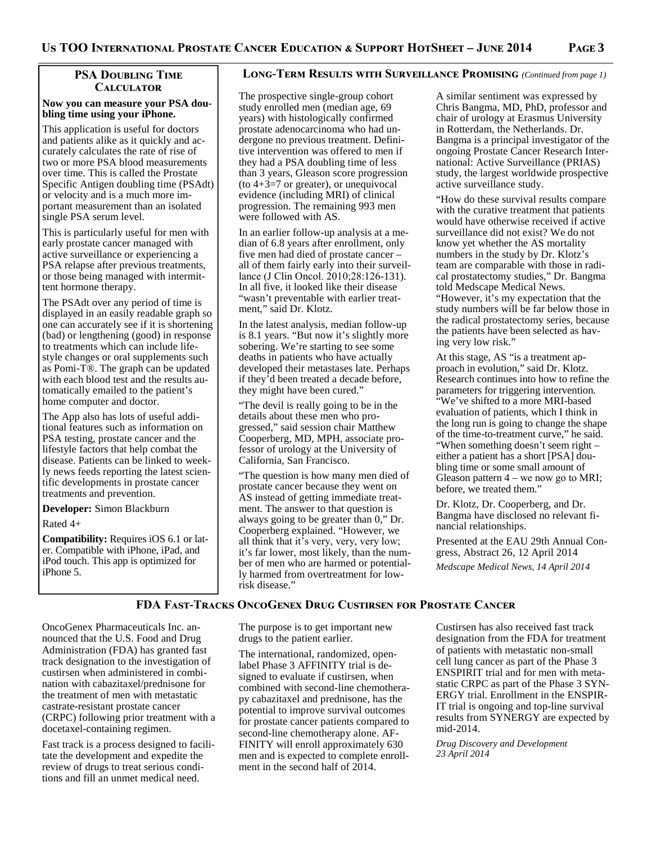# **PSA DOUBLING TIME CALCULATOR**

#### **Now you can measure your PSA doubling time using your iPhone.**

This application is useful for doctors and patients alike as it quickly and accurately calculates the rate of rise of two or more PSA blood measurements over time. This is called the Prostate Specific Antigen doubling time (PSAdt) or velocity and is a much more important measurement than an isolated single PSA serum level.

This is particularly useful for men with early prostate cancer managed with active surveillance or experiencing a PSA relapse after previous treatments, or those being managed with intermittent hormone therapy.

The PSAdt over any period of time is displayed in an easily readable graph so one can accurately see if it is shortening (bad) or lengthening (good) in response to treatments which can include lifestyle changes or oral supplements such as Pomi-T®. The graph can be updated with each blood test and the results automatically emailed to the patient's home computer and doctor.

The App also has lots of useful additional features such as information on PSA testing, prostate cancer and the lifestyle factors that help combat the disease. Patients can be linked to weekly news feeds reporting the latest scientific developments in prostate cancer treatments and prevention.

**Developer:** Simon Blackburn

Rated 4+

**Compatibility:** Requires iOS 6.1 or later. Compatible with iPhone, iPad, and iPod touch. This app is optimized for iPhone 5.

# LONG-TERM RESULTS WITH SURVEILLANCE PROMISING (Continued from page 1)

The prospective single-group cohort study enrolled men (median age, 69 years) with histologically confirmed prostate adenocarcinoma who had undergone no previous treatment. Definitive intervention was offered to men if they had a PSA doubling time of less than 3 years, Gleason score progression (to  $4+3=7$  or greater), or unequivocal evidence (including MRI) of clinical progression. The remaining 993 men were followed with AS.

In an earlier follow-up analysis at a median of 6.8 years after enrollment, only five men had died of prostate cancer – all of them fairly early into their surveillance (J Clin Oncol. 2010;28:126-131). In all five, it looked like their disease "wasn't preventable with earlier treatment," said Dr. Klotz.

In the latest analysis, median follow-up is 8.1 years. "But now it's slightly more sobering. We're starting to see some deaths in patients who have actually developed their metastases late. Perhaps if they'd been treated a decade before, they might have been cured."

"The devil is really going to be in the details about these men who progressed," said session chair Matthew Cooperberg, MD, MPH, associate professor of urology at the University of California, San Francisco.

"The question is how many men died of prostate cancer because they went on AS instead of getting immediate treatment. The answer to that question is always going to be greater than 0," Dr. Cooperberg explained. "However, we all think that it's very, very, very low; it's far lower, most likely, than the number of men who are harmed or potentially harmed from overtreatment for lowrisk disease."

A similar sentiment was expressed by Chris Bangma, MD, PhD, professor and chair of urology at Erasmus University in Rotterdam, the Netherlands. Dr. Bangma is a principal investigator of the ongoing Prostate Cancer Research International: Active Surveillance (PRIAS) study, the largest worldwide prospective active surveillance study.

"How do these survival results compare with the curative treatment that patients would have otherwise received if active surveillance did not exist? We do not know yet whether the AS mortality numbers in the study by Dr. Klotz's team are comparable with those in radical prostatectomy studies," Dr. Bangma told Medscape Medical News. "However, it's my expectation that the study numbers will be far below those in the radical prostatectomy series, because the patients have been selected as having very low risk."

At this stage, AS "is a treatment approach in evolution," said Dr. Klotz. Research continues into how to refine the parameters for triggering intervention. "We've shifted to a more MRI-based evaluation of patients, which I think in the long run is going to change the shape of the time-to-treatment curve," he said. "When something doesn't seem right – either a patient has a short [PSA] doubling time or some small amount of Gleason pattern  $4 -$  we now go to MRI; before, we treated them."

Dr. Klotz, Dr. Cooperberg, and Dr. Bangma have disclosed no relevant financial relationships.

Presented at the EAU 29th Annual Congress, Abstract 26, 12 April 2014

*Medscape Medical News, 14 April 2014* 

# FDA FAST-TRACKS ONCOGENEX DRUG CUSTIRSEN FOR PROSTATE CANCER

OncoGenex Pharmaceuticals Inc. announced that the U.S. Food and Drug Administration (FDA) has granted fast track designation to the investigation of custirsen when administered in combination with cabazitaxel/prednisone for the treatment of men with metastatic castrate-resistant prostate cancer (CRPC) following prior treatment with a docetaxel-containing regimen.

Fast track is a process designed to facilitate the development and expedite the review of drugs to treat serious conditions and fill an unmet medical need.

The purpose is to get important new drugs to the patient earlier.

The international, randomized, openlabel Phase 3 AFFINITY trial is designed to evaluate if custirsen, when combined with second-line chemotherapy cabazitaxel and prednisone, has the potential to improve survival outcomes for prostate cancer patients compared to second-line chemotherapy alone. AF-FINITY will enroll approximately 630 men and is expected to complete enrollment in the second half of 2014.

Custirsen has also received fast track designation from the FDA for treatment of patients with metastatic non-small cell lung cancer as part of the Phase 3 ENSPIRIT trial and for men with metastatic CRPC as part of the Phase 3 SYN-ERGY trial. Enrollment in the ENSPIR-IT trial is ongoing and top-line survival results from SYNERGY are expected by mid-2014.

*Drug Discovery and Development 23 April 2014*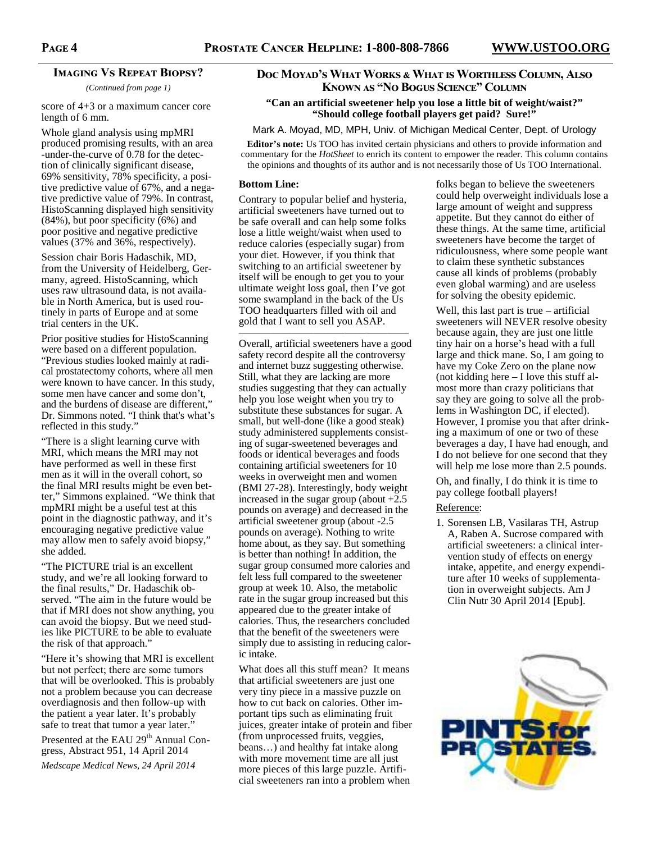# **IMAGING VS REPEAT BIOPSY?**

*(Continued from page 1)* 

score of 4+3 or a maximum cancer core length of 6 mm.

Whole gland analysis using mpMRI produced promising results, with an area -under-the-curve of 0.78 for the detection of clinically significant disease, 69% sensitivity, 78% specificity, a positive predictive value of 67%, and a negative predictive value of 79%. In contrast, HistoScanning displayed high sensitivity (84%), but poor specificity  $(6%)$  and poor positive and negative predictive values (37% and 36%, respectively).

Session chair Boris Hadaschik, MD, from the University of Heidelberg, Germany, agreed. HistoScanning, which uses raw ultrasound data, is not available in North America, but is used routinely in parts of Europe and at some trial centers in the UK.

Prior positive studies for HistoScanning were based on a different population. "Previous studies looked mainly at radical prostatectomy cohorts, where all men were known to have cancer. In this study, some men have cancer and some don't, and the burdens of disease are different,' Dr. Simmons noted. "I think that's what's reflected in this study."

"There is a slight learning curve with MRI, which means the MRI may not have performed as well in these first men as it will in the overall cohort, so the final MRI results might be even better," Simmons explained. "We think that mpMRI might be a useful test at this point in the diagnostic pathway, and it's encouraging negative predictive value may allow men to safely avoid biopsy," she added.

"The PICTURE trial is an excellent study, and we're all looking forward to the final results," Dr. Hadaschik observed. "The aim in the future would be that if MRI does not show anything, you can avoid the biopsy. But we need studies like PICTURE to be able to evaluate the risk of that approach."

"Here it's showing that MRI is excellent but not perfect; there are some tumors that will be overlooked. This is probably not a problem because you can decrease overdiagnosis and then follow-up with the patient a year later. It's probably safe to treat that tumor a year later."

Presented at the EAU 29<sup>th</sup> Annual Congress, Abstract 951, 14 April 2014

*Medscape Medical News, 24 April 2014* 

# Doc Moyad's What Works & What is Worthless Column, Also **KNOWN AS "NO BOGUS SCIENCE" COLUMN**

#### **"Can an artificial sweetener help you lose a little bit of weight/waist?" "Should college football players get paid? Sure!"**

#### Mark A. Moyad, MD, MPH, Univ. of Michigan Medical Center, Dept. of Urology

**Editor's note:** Us TOO has invited certain physicians and others to provide information and commentary for the *HotSheet* to enrich its content to empower the reader. This column contains the opinions and thoughts of its author and is not necessarily those of Us TOO International.

#### **Bottom Line:**

Contrary to popular belief and hysteria, artificial sweeteners have turned out to be safe overall and can help some folks lose a little weight/waist when used to reduce calories (especially sugar) from your diet. However, if you think that switching to an artificial sweetener by itself will be enough to get you to your ultimate weight loss goal, then I've got some swampland in the back of the Us TOO headquarters filled with oil and gold that I want to sell you ASAP.

———————————————— Overall, artificial sweeteners have a good safety record despite all the controversy and internet buzz suggesting otherwise. Still, what they are lacking are more studies suggesting that they can actually help you lose weight when you try to substitute these substances for sugar. A small, but well-done (like a good steak) study administered supplements consisting of sugar-sweetened beverages and foods or identical beverages and foods containing artificial sweeteners for 10 weeks in overweight men and women (BMI 27-28). Interestingly, body weight increased in the sugar group (about  $+2.5$ pounds on average) and decreased in the artificial sweetener group (about -2.5 pounds on average). Nothing to write home about, as they say. But something is better than nothing! In addition, the sugar group consumed more calories and felt less full compared to the sweetener group at week 10. Also, the metabolic rate in the sugar group increased but this appeared due to the greater intake of calories. Thus, the researchers concluded that the benefit of the sweeteners were simply due to assisting in reducing caloric intake.

What does all this stuff mean? It means that artificial sweeteners are just one very tiny piece in a massive puzzle on how to cut back on calories. Other important tips such as eliminating fruit juices, greater intake of protein and fiber (from unprocessed fruits, veggies, beans…) and healthy fat intake along with more movement time are all just more pieces of this large puzzle. Artificial sweeteners ran into a problem when

folks began to believe the sweeteners could help overweight individuals lose a large amount of weight and suppress appetite. But they cannot do either of these things. At the same time, artificial sweeteners have become the target of ridiculousness, where some people want to claim these synthetic substances cause all kinds of problems (probably even global warming) and are useless for solving the obesity epidemic.

Well, this last part is true – artificial sweeteners will NEVER resolve obesity because again, they are just one little tiny hair on a horse's head with a full large and thick mane. So, I am going to have my Coke Zero on the plane now (not kidding here – I love this stuff almost more than crazy politicians that say they are going to solve all the problems in Washington DC, if elected). However, I promise you that after drinking a maximum of one or two of these beverages a day, I have had enough, and I do not believe for one second that they will help me lose more than 2.5 pounds.

Oh, and finally, I do think it is time to pay college football players!

# Reference:

1. Sorensen LB, Vasilaras TH, Astrup A, Raben A. Sucrose compared with artificial sweeteners: a clinical intervention study of effects on energy intake, appetite, and energy expenditure after 10 weeks of supplementation in overweight subjects. Am J Clin Nutr 30 April 2014 [Epub].

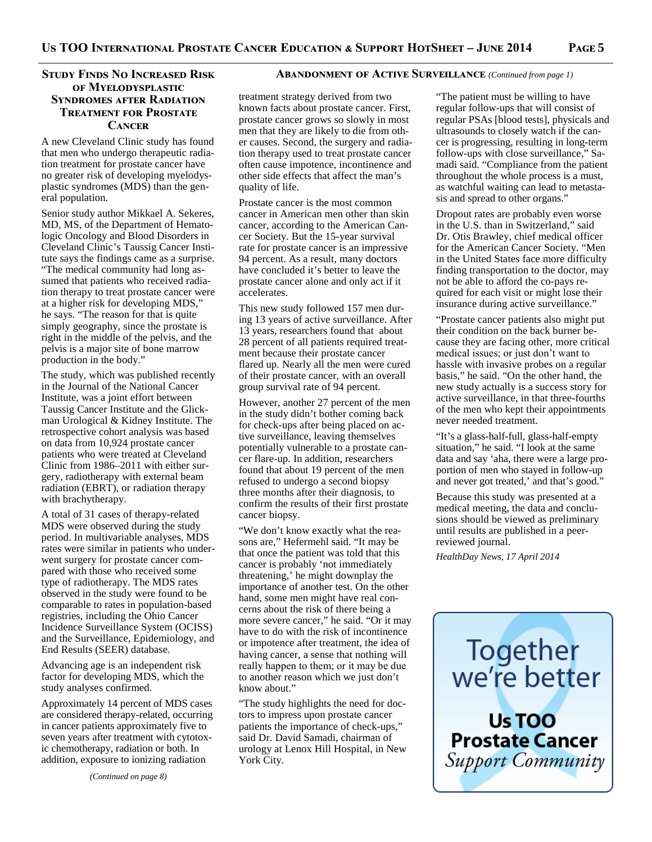# Study Finds No Increased Risk **OF MYELODYSPLASTIC SYNDROMES AFTER RADIATION TREATMENT FOR PROSTATE CANCER**

A new Cleveland Clinic study has found that men who undergo therapeutic radiation treatment for prostate cancer have no greater risk of developing myelodysplastic syndromes (MDS) than the general population.

Senior study author Mikkael A. Sekeres, MD, MS, of the Department of Hematologic Oncology and Blood Disorders in Cleveland Clinic's Taussig Cancer Institute says the findings came as a surprise. "The medical community had long assumed that patients who received radiation therapy to treat prostate cancer were at a higher risk for developing MDS," he says. "The reason for that is quite simply geography, since the prostate is right in the middle of the pelvis, and the pelvis is a major site of bone marrow production in the body."

The study, which was published recently in the Journal of the National Cancer Institute, was a joint effort between Taussig Cancer Institute and the Glickman Urological & Kidney Institute. The retrospective cohort analysis was based on data from 10,924 prostate cancer patients who were treated at Cleveland Clinic from 1986–2011 with either surgery, radiotherapy with external beam radiation (EBRT), or radiation therapy with brachytherapy.

A total of 31 cases of therapy-related MDS were observed during the study period. In multivariable analyses, MDS rates were similar in patients who underwent surgery for prostate cancer compared with those who received some type of radiotherapy. The MDS rates observed in the study were found to be comparable to rates in population-based registries, including the Ohio Cancer Incidence Surveillance System (OCISS) and the Surveillance, Epidemiology, and End Results (SEER) database.

Advancing age is an independent risk factor for developing MDS, which the study analyses confirmed.

Approximately 14 percent of MDS cases are considered therapy-related, occurring in cancer patients approximately five to seven years after treatment with cytotoxic chemotherapy, radiation or both. In addition, exposure to ionizing radiation

**ABANDONMENT OF ACTIVE SURVEILLANCE** (Continued from page 1)

treatment strategy derived from two known facts about prostate cancer. First, prostate cancer grows so slowly in most men that they are likely to die from other causes. Second, the surgery and radiation therapy used to treat prostate cancer often cause impotence, incontinence and other side effects that affect the man's quality of life.

Prostate cancer is the most common cancer in American men other than skin cancer, according to the American Cancer Society. But the 15-year survival rate for prostate cancer is an impressive 94 percent. As a result, many doctors have concluded it's better to leave the prostate cancer alone and only act if it accelerates.

This new study followed 157 men during 13 years of active surveillance. After 13 years, researchers found that about 28 percent of all patients required treatment because their prostate cancer flared up. Nearly all the men were cured of their prostate cancer, with an overall group survival rate of 94 percent.

However, another 27 percent of the men in the study didn't bother coming back for check-ups after being placed on active surveillance, leaving themselves potentially vulnerable to a prostate cancer flare-up. In addition, researchers found that about 19 percent of the men refused to undergo a second biopsy three months after their diagnosis, to confirm the results of their first prostate cancer biopsy.

"We don't know exactly what the reasons are," Hefermehl said. "It may be that once the patient was told that this cancer is probably 'not immediately threatening,' he might downplay the importance of another test. On the other hand, some men might have real concerns about the risk of there being a more severe cancer," he said. "Or it may have to do with the risk of incontinence or impotence after treatment, the idea of having cancer, a sense that nothing will really happen to them; or it may be due to another reason which we just don't know about."

"The study highlights the need for doctors to impress upon prostate cancer patients the importance of check-ups," said Dr. David Samadi, chairman of urology at Lenox Hill Hospital, in New York City.

"The patient must be willing to have regular follow-ups that will consist of regular PSAs [blood tests], physicals and ultrasounds to closely watch if the cancer is progressing, resulting in long-term follow-ups with close surveillance," Samadi said. "Compliance from the patient throughout the whole process is a must, as watchful waiting can lead to metastasis and spread to other organs."

Dropout rates are probably even worse in the U.S. than in Switzerland," said Dr. Otis Brawley, chief medical officer for the American Cancer Society. "Men in the United States face more difficulty finding transportation to the doctor, may not be able to afford the co-pays required for each visit or might lose their insurance during active surveillance."

"Prostate cancer patients also might put their condition on the back burner because they are facing other, more critical medical issues; or just don't want to hassle with invasive probes on a regular basis," he said. "On the other hand, the new study actually is a success story for active surveillance, in that three-fourths of the men who kept their appointments never needed treatment.

"It's a glass-half-full, glass-half-empty situation," he said. "I look at the same data and say 'aha, there were a large proportion of men who stayed in follow-up and never got treated,' and that's good.'

Because this study was presented at a medical meeting, the data and conclusions should be viewed as preliminary until results are published in a peerreviewed journal.

*HealthDay News, 17 April 2014* 



Support Community

*(Continued on page 8)*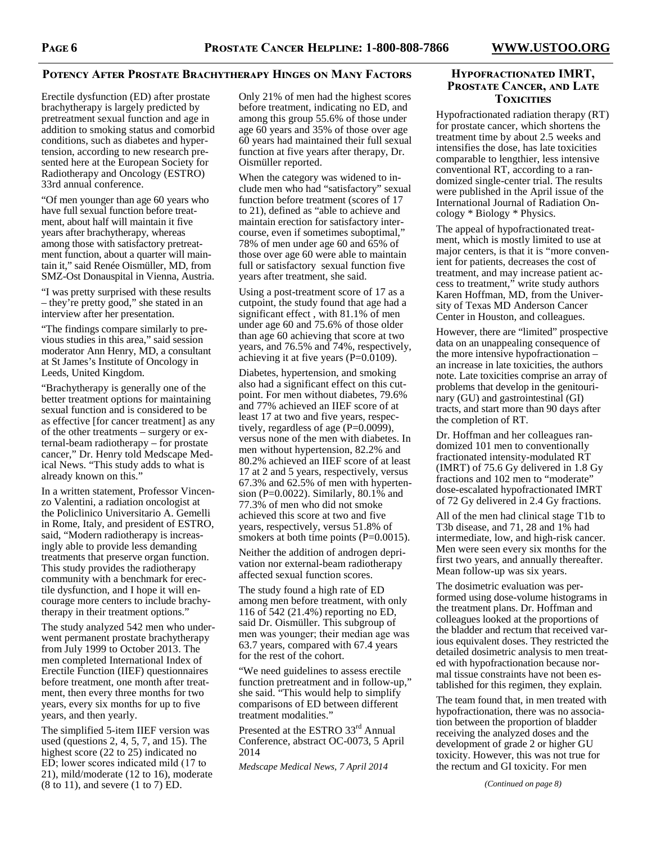## **POTENCY AFTER PROSTATE BRACHYTHERAPY HINGES ON MANY FACTORS**

Erectile dysfunction (ED) after prostate brachytherapy is largely predicted by pretreatment sexual function and age in addition to smoking status and comorbid conditions, such as diabetes and hypertension, according to new research presented here at the European Society for Radiotherapy and Oncology (ESTRO) 33rd annual conference.

"Of men younger than age 60 years who have full sexual function before treatment, about half will maintain it five years after brachytherapy, whereas among those with satisfactory pretreatment function, about a quarter will maintain it," said Renée Oismüller, MD, from SMZ-Ost Donauspital in Vienna, Austria.

"I was pretty surprised with these results – they're pretty good," she stated in an interview after her presentation.

"The findings compare similarly to previous studies in this area," said session moderator Ann Henry, MD, a consultant at St James's Institute of Oncology in Leeds, United Kingdom.

"Brachytherapy is generally one of the better treatment options for maintaining sexual function and is considered to be as effective [for cancer treatment] as any of the other treatments – surgery or external-beam radiotherapy – for prostate cancer," Dr. Henry told Medscape Medical News. "This study adds to what is already known on this."

In a written statement, Professor Vincenzo Valentini, a radiation oncologist at the Policlinico Universitario A. Gemelli in Rome, Italy, and president of ESTRO, said, "Modern radiotherapy is increasingly able to provide less demanding treatments that preserve organ function. This study provides the radiotherapy community with a benchmark for erectile dysfunction, and I hope it will encourage more centers to include brachytherapy in their treatment options."

The study analyzed 542 men who underwent permanent prostate brachytherapy from July 1999 to October 2013. The men completed International Index of Erectile Function (IIEF) questionnaires before treatment, one month after treatment, then every three months for two years, every six months for up to five years, and then yearly.

The simplified 5-item IIEF version was used (questions 2, 4, 5, 7, and 15). The highest score (22 to 25) indicated no ED; lower scores indicated mild (17 to 21), mild/moderate (12 to 16), moderate (8 to 11), and severe (1 to 7) ED.

Only 21% of men had the highest scores before treatment, indicating no ED, and among this group 55.6% of those under age 60 years and 35% of those over age 60 years had maintained their full sexual function at five years after therapy, Dr. Oismüller reported.

When the category was widened to include men who had "satisfactory" sexual function before treatment (scores of 17 to 21), defined as "able to achieve and maintain erection for satisfactory intercourse, even if sometimes suboptimal," 78% of men under age 60 and 65% of those over age 60 were able to maintain full or satisfactory sexual function five years after treatment, she said.

Using a post-treatment score of 17 as a cutpoint, the study found that age had a significant effect , with 81.1% of men under age 60 and 75.6% of those older than age 60 achieving that score at two years, and 76.5% and 74%, respectively, achieving it at five years (P=0.0109).

Diabetes, hypertension, and smoking also had a significant effect on this cutpoint. For men without diabetes, 79.6% and 77% achieved an IIEF score of at least 17 at two and five years, respectively, regardless of age  $(P=0.0099)$ , versus none of the men with diabetes. In men without hypertension, 82.2% and 80.2% achieved an IIEF score of at least 17 at 2 and 5 years, respectively, versus 67.3% and 62.5% of men with hypertension (P=0.0022). Similarly, 80.1% and 77.3% of men who did not smoke achieved this score at two and five years, respectively, versus 51.8% of smokers at both time points (P=0.0015).

Neither the addition of androgen deprivation nor external-beam radiotherapy affected sexual function scores.

The study found a high rate of ED among men before treatment, with only 116 of 542 (21.4%) reporting no ED, said Dr. Oismüller. This subgroup of men was younger; their median age was 63.7 years, compared with 67.4 years for the rest of the cohort.

"We need guidelines to assess erectile function pretreatment and in follow-up," she said. "This would help to simplify comparisons of ED between different treatment modalities."

Presented at the ESTRO 33<sup>rd</sup> Annual Conference, abstract OC-0073, 5 April 2014

*Medscape Medical News, 7 April 2014* 

## **HYPOFRACTIONATED IMRT, PROSTATE CANCER, AND LATE TOXICITIES**

Hypofractionated radiation therapy (RT) for prostate cancer, which shortens the treatment time by about 2.5 weeks and intensifies the dose, has late toxicities comparable to lengthier, less intensive conventional RT, according to a randomized single-center trial. The results were published in the April issue of the International Journal of Radiation Oncology \* Biology \* Physics.

The appeal of hypofractionated treatment, which is mostly limited to use at major centers, is that it is "more convenient for patients, decreases the cost of treatment, and may increase patient access to treatment," write study authors Karen Hoffman, MD, from the University of Texas MD Anderson Cancer Center in Houston, and colleagues.

However, there are "limited" prospective data on an unappealing consequence of the more intensive hypofractionation – an increase in late toxicities, the authors note. Late toxicities comprise an array of problems that develop in the genitourinary (GU) and gastrointestinal (GI) tracts, and start more than 90 days after the completion of RT.

Dr. Hoffman and her colleagues randomized 101 men to conventionally fractionated intensity-modulated RT (IMRT) of 75.6 Gy delivered in 1.8 Gy fractions and 102 men to "moderate" dose-escalated hypofractionated IMRT of 72 Gy delivered in 2.4 Gy fractions.

All of the men had clinical stage T1b to T3b disease, and 71, 28 and 1% had intermediate, low, and high-risk cancer. Men were seen every six months for the first two years, and annually thereafter. Mean follow-up was six years.

The dosimetric evaluation was performed using dose-volume histograms in the treatment plans. Dr. Hoffman and colleagues looked at the proportions of the bladder and rectum that received various equivalent doses. They restricted the detailed dosimetric analysis to men treated with hypofractionation because normal tissue constraints have not been established for this regimen, they explain.

The team found that, in men treated with hypofractionation, there was no association between the proportion of bladder receiving the analyzed doses and the development of grade 2 or higher GU toxicity. However, this was not true for the rectum and GI toxicity. For men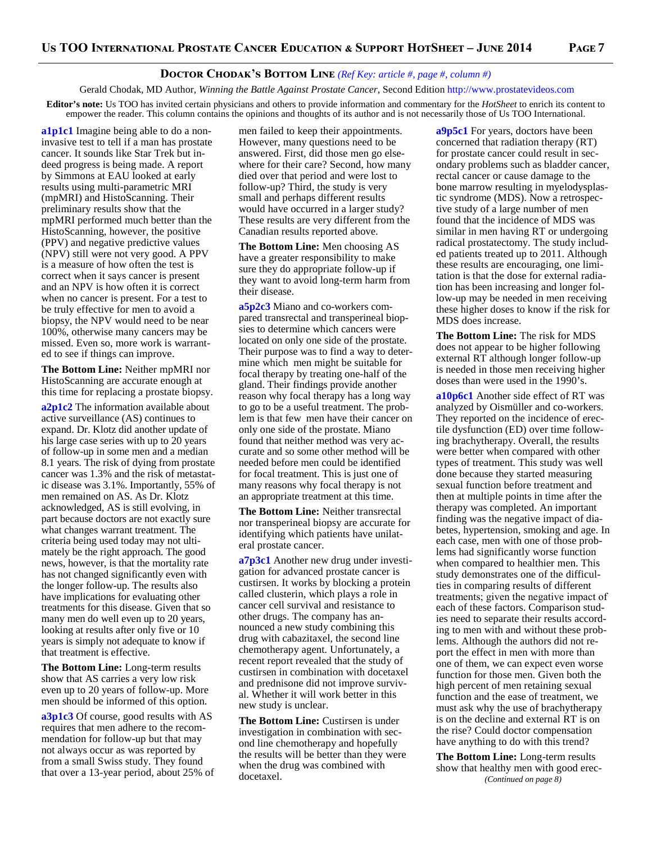## **DOCTOR CHODAK'S BOTTOM LINE** (Ref Key: article #, page #, column #)

Gerald Chodak, MD Author, *Winning the Battle Against Prostate Cancer*, Second Edition http://www.prostatevideos.com

**Editor's note:** Us TOO has invited certain physicians and others to provide information and commentary for the *HotSheet* to enrich its content to empower the reader. This column contains the opinions and thoughts of its author and is not necessarily those of Us TOO International.

**a1p1c1** Imagine being able to do a noninvasive test to tell if a man has prostate cancer. It sounds like Star Trek but indeed progress is being made. A report by Simmons at EAU looked at early results using multi-parametric MRI (mpMRI) and HistoScanning. Their preliminary results show that the mpMRI performed much better than the HistoScanning, however, the positive (PPV) and negative predictive values (NPV) still were not very good. A PPV is a measure of how often the test is correct when it says cancer is present and an NPV is how often it is correct when no cancer is present. For a test to be truly effective for men to avoid a biopsy, the NPV would need to be near 100%, otherwise many cancers may be missed. Even so, more work is warranted to see if things can improve.

**The Bottom Line:** Neither mpMRI nor HistoScanning are accurate enough at this time for replacing a prostate biopsy.

**a2p1c2** The information available about active surveillance (AS) continues to expand. Dr. Klotz did another update of his large case series with up to 20 years of follow-up in some men and a median 8.1 years. The risk of dying from prostate cancer was 1.3% and the risk of metastatic disease was 3.1%. Importantly, 55% of men remained on AS. As Dr. Klotz acknowledged, AS is still evolving, in part because doctors are not exactly sure what changes warrant treatment. The criteria being used today may not ultimately be the right approach. The good news, however, is that the mortality rate has not changed significantly even with the longer follow-up. The results also have implications for evaluating other treatments for this disease. Given that so many men do well even up to 20 years, looking at results after only five or 10 years is simply not adequate to know if that treatment is effective.

**The Bottom Line:** Long-term results show that AS carries a very low risk even up to 20 years of follow-up. More men should be informed of this option.

**a3p1c3** Of course, good results with AS requires that men adhere to the recommendation for follow-up but that may not always occur as was reported by from a small Swiss study. They found that over a 13-year period, about 25% of men failed to keep their appointments. However, many questions need to be answered. First, did those men go elsewhere for their care? Second, how many died over that period and were lost to follow-up? Third, the study is very small and perhaps different results would have occurred in a larger study? These results are very different from the Canadian results reported above.

**The Bottom Line:** Men choosing AS have a greater responsibility to make sure they do appropriate follow-up if they want to avoid long-term harm from their disease.

**a5p2c3** Miano and co-workers compared transrectal and transperineal biopsies to determine which cancers were located on only one side of the prostate. Their purpose was to find a way to determine which men might be suitable for focal therapy by treating one-half of the gland. Their findings provide another reason why focal therapy has a long way to go to be a useful treatment. The problem is that few men have their cancer on only one side of the prostate. Miano found that neither method was very accurate and so some other method will be needed before men could be identified for focal treatment. This is just one of many reasons why focal therapy is not an appropriate treatment at this time.

**The Bottom Line:** Neither transrectal nor transperineal biopsy are accurate for identifying which patients have unilateral prostate cancer.

**a7p3c1** Another new drug under investigation for advanced prostate cancer is custirsen. It works by blocking a protein called clusterin, which plays a role in cancer cell survival and resistance to other drugs. The company has announced a new study combining this drug with cabazitaxel, the second line chemotherapy agent. Unfortunately, a recent report revealed that the study of custirsen in combination with docetaxel and prednisone did not improve survival. Whether it will work better in this new study is unclear.

**The Bottom Line:** Custirsen is under investigation in combination with second line chemotherapy and hopefully the results will be better than they were when the drug was combined with docetaxel.

**a9p5c1** For years, doctors have been concerned that radiation therapy (RT) for prostate cancer could result in secondary problems such as bladder cancer, rectal cancer or cause damage to the bone marrow resulting in myelodysplastic syndrome (MDS). Now a retrospective study of a large number of men found that the incidence of MDS was similar in men having RT or undergoing radical prostatectomy. The study included patients treated up to 2011. Although these results are encouraging, one limitation is that the dose for external radiation has been increasing and longer follow-up may be needed in men receiving these higher doses to know if the risk for MDS does increase.

**The Bottom Line:** The risk for MDS does not appear to be higher following external RT although longer follow-up is needed in those men receiving higher doses than were used in the 1990's.

**a10p6c1** Another side effect of RT was analyzed by Oismüller and co-workers. They reported on the incidence of erectile dysfunction (ED) over time following brachytherapy. Overall, the results were better when compared with other types of treatment. This study was well done because they started measuring sexual function before treatment and then at multiple points in time after the therapy was completed. An important finding was the negative impact of diabetes, hypertension, smoking and age. In each case, men with one of those problems had significantly worse function when compared to healthier men. This study demonstrates one of the difficulties in comparing results of different treatments; given the negative impact of each of these factors. Comparison studies need to separate their results according to men with and without these problems. Although the authors did not report the effect in men with more than one of them, we can expect even worse function for those men. Given both the high percent of men retaining sexual function and the ease of treatment, we must ask why the use of brachytherapy is on the decline and external RT is on the rise? Could doctor compensation have anything to do with this trend?

**The Bottom Line:** Long-term results show that healthy men with good erec- *(Continued on page 8)*